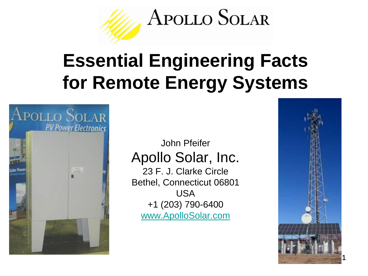

# **Essential Engineering Facts for Remote Energy Systems**



#### John Pfeifer Apollo Solar, Inc.

23 F. J. Clarke Circle Bethel, Connecticut 06801 USA +1 (203) 790-6400 [www.ApolloSolar.com](http://www.apollosolar.com/)

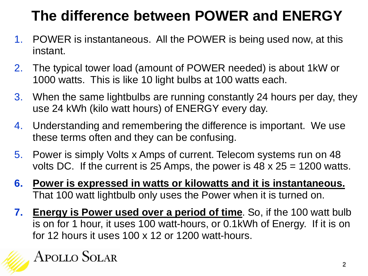# **The difference between POWER and ENERGY**

- 1. POWER is instantaneous. All the POWER is being used now, at this instant.
- 2. The typical tower load (amount of POWER needed) is about 1kW or 1000 watts. This is like 10 light bulbs at 100 watts each.
- 3. When the same lightbulbs are running constantly 24 hours per day, they use 24 kWh (kilo watt hours) of ENERGY every day.
- 4. Understanding and remembering the difference is important. We use these terms often and they can be confusing.
- 5. Power is simply Volts x Amps of current. Telecom systems run on 48 volts DC. If the current is 25 Amps, the power is  $48 \times 25 = 1200$  watts.
- **6. Power is expressed in watts or kilowatts and it is instantaneous.** That 100 watt lightbulb only uses the Power when it is turned on.
- **7. Energy is Power used over a period of time**. So, if the 100 watt bulb is on for 1 hour, it uses 100 watt-hours, or 0.1kWh of Energy. If it is on for 12 hours it uses 100 x 12 or 1200 watt-hours.

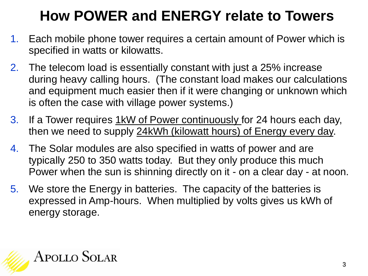# **How POWER and ENERGY relate to Towers**

- 1. Each mobile phone tower requires a certain amount of Power which is specified in watts or kilowatts.
- 2. The telecom load is essentially constant with just a 25% increase during heavy calling hours. (The constant load makes our calculations and equipment much easier then if it were changing or unknown which is often the case with village power systems.)
- 3. If a Tower requires **1kW of Power continuously** for 24 hours each day, then we need to supply 24kWh (kilowatt hours) of Energy every day.
- 4. The Solar modules are also specified in watts of power and are typically 250 to 350 watts today. But they only produce this much Power when the sun is shinning directly on it - on a clear day - at noon.
- 5. We store the Energy in batteries. The capacity of the batteries is expressed in Amp-hours. When multiplied by volts gives us kWh of energy storage.

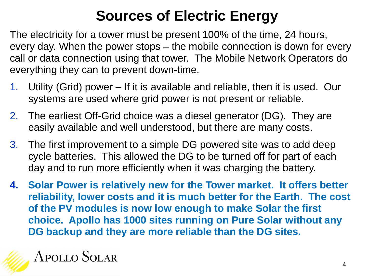## **Sources of Electric Energy**

The electricity for a tower must be present 100% of the time, 24 hours, every day. When the power stops – the mobile connection is down for every call or data connection using that tower. The Mobile Network Operators do everything they can to prevent down-time.

- 1. Utility (Grid) power If it is available and reliable, then it is used. Our systems are used where grid power is not present or reliable.
- 2. The earliest Off-Grid choice was a diesel generator (DG). They are easily available and well understood, but there are many costs.
- 3. The first improvement to a simple DG powered site was to add deep cycle batteries. This allowed the DG to be turned off for part of each day and to run more efficiently when it was charging the battery.
- **4. Solar Power is relatively new for the Tower market. It offers better reliability, lower costs and it is much better for the Earth. The cost of the PV modules is now low enough to make Solar the first choice. Apollo has 1000 sites running on Pure Solar without any DG backup and they are more reliable than the DG sites.**

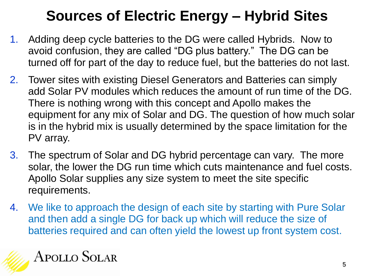### **Sources of Electric Energy – Hybrid Sites**

- 1. Adding deep cycle batteries to the DG were called Hybrids. Now to avoid confusion, they are called "DG plus battery." The DG can be turned off for part of the day to reduce fuel, but the batteries do not last.
- 2. Tower sites with existing Diesel Generators and Batteries can simply add Solar PV modules which reduces the amount of run time of the DG. There is nothing wrong with this concept and Apollo makes the equipment for any mix of Solar and DG. The question of how much solar is in the hybrid mix is usually determined by the space limitation for the PV array.
- 3. The spectrum of Solar and DG hybrid percentage can vary. The more solar, the lower the DG run time which cuts maintenance and fuel costs. Apollo Solar supplies any size system to meet the site specific requirements.
- 4. We like to approach the design of each site by starting with Pure Solar and then add a single DG for back up which will reduce the size of batteries required and can often yield the lowest up front system cost.

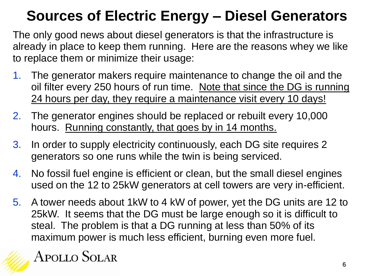#### **Sources of Electric Energy – Diesel Generators**

The only good news about diesel generators is that the infrastructure is already in place to keep them running. Here are the reasons whey we like to replace them or minimize their usage:

- 1. The generator makers require maintenance to change the oil and the oil filter every 250 hours of run time. Note that since the DG is running 24 hours per day, they require a maintenance visit every 10 days!
- 2. The generator engines should be replaced or rebuilt every 10,000 hours. Running constantly, that goes by in 14 months.
- 3. In order to supply electricity continuously, each DG site requires 2 generators so one runs while the twin is being serviced.
- 4. No fossil fuel engine is efficient or clean, but the small diesel engines used on the 12 to 25kW generators at cell towers are very in-efficient.
- 5. A tower needs about 1kW to 4 kW of power, yet the DG units are 12 to 25kW. It seems that the DG must be large enough so it is difficult to steal. The problem is that a DG running at less than 50% of its maximum power is much less efficient, burning even more fuel.

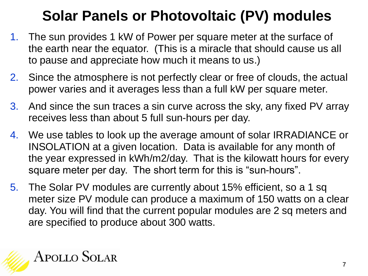#### **Solar Panels or Photovoltaic (PV) modules**

- 1. The sun provides 1 kW of Power per square meter at the surface of the earth near the equator. (This is a miracle that should cause us all to pause and appreciate how much it means to us.)
- 2. Since the atmosphere is not perfectly clear or free of clouds, the actual power varies and it averages less than a full kW per square meter.
- 3. And since the sun traces a sin curve across the sky, any fixed PV array receives less than about 5 full sun-hours per day.
- 4. We use tables to look up the average amount of solar IRRADIANCE or INSOLATION at a given location. Data is available for any month of the year expressed in kWh/m2/day. That is the kilowatt hours for every square meter per day. The short term for this is "sun-hours".
- 5. The Solar PV modules are currently about 15% efficient, so a 1 sq meter size PV module can produce a maximum of 150 watts on a clear day. You will find that the current popular modules are 2 sq meters and are specified to produce about 300 watts.

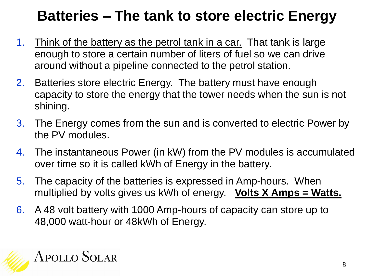#### **Batteries – The tank to store electric Energy**

- 1. Think of the battery as the petrol tank in a car. That tank is large enough to store a certain number of liters of fuel so we can drive around without a pipeline connected to the petrol station.
- 2. Batteries store electric Energy. The battery must have enough capacity to store the energy that the tower needs when the sun is not shining.
- 3. The Energy comes from the sun and is converted to electric Power by the PV modules.
- 4. The instantaneous Power (in kW) from the PV modules is accumulated over time so it is called kWh of Energy in the battery.
- 5. The capacity of the batteries is expressed in Amp-hours. When multiplied by volts gives us kWh of energy. **Volts X Amps = Watts.**
- 6. A 48 volt battery with 1000 Amp-hours of capacity can store up to 48,000 watt-hour or 48kWh of Energy.

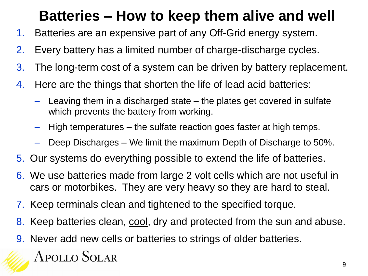#### **Batteries – How to keep them alive and well**

- 1. Batteries are an expensive part of any Off-Grid energy system.
- 2. Every battery has a limited number of charge-discharge cycles.
- 3. The long-term cost of a system can be driven by battery replacement.
- 4. Here are the things that shorten the life of lead acid batteries:
	- Leaving them in a discharged state the plates get covered in sulfate which prevents the battery from working.
	- High temperatures the sulfate reaction goes faster at high temps.
	- Deep Discharges We limit the maximum Depth of Discharge to 50%.
- 5. Our systems do everything possible to extend the life of batteries.
- 6. We use batteries made from large 2 volt cells which are not useful in cars or motorbikes. They are very heavy so they are hard to steal.
- 7. Keep terminals clean and tightened to the specified torque.
- 8. Keep batteries clean, cool, dry and protected from the sun and abuse.
- 9. Never add new cells or batteries to strings of older batteries.

#### **APOLLO SOLAR**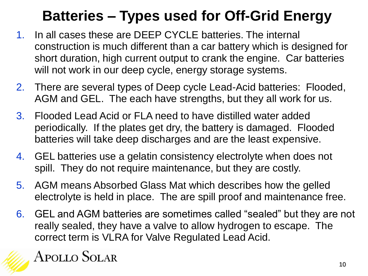## **Batteries – Types used for Off-Grid Energy**

- 1. In all cases these are DEEP CYCLE batteries. The internal construction is much different than a car battery which is designed for short duration, high current output to crank the engine. Car batteries will not work in our deep cycle, energy storage systems.
- 2. There are several types of Deep cycle Lead-Acid batteries: Flooded, AGM and GEL. The each have strengths, but they all work for us.
- 3. Flooded Lead Acid or FLA need to have distilled water added periodically. If the plates get dry, the battery is damaged. Flooded batteries will take deep discharges and are the least expensive.
- 4. GEL batteries use a gelatin consistency electrolyte when does not spill. They do not require maintenance, but they are costly.
- 5. AGM means Absorbed Glass Mat which describes how the gelled electrolyte is held in place. The are spill proof and maintenance free.
- 6. GEL and AGM batteries are sometimes called "sealed" but they are not really sealed, they have a valve to allow hydrogen to escape. The correct term is VLRA for Valve Regulated Lead Acid.

#### **APOLLO SOLAR**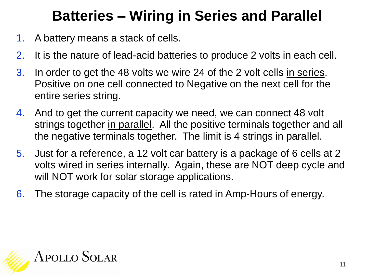#### **Batteries – Wiring in Series and Parallel**

- 1. A battery means a stack of cells.
- 2. It is the nature of lead-acid batteries to produce 2 volts in each cell.
- 3. In order to get the 48 volts we wire 24 of the 2 volt cells in series. Positive on one cell connected to Negative on the next cell for the entire series string.
- 4. And to get the current capacity we need, we can connect 48 volt strings together in parallel. All the positive terminals together and all the negative terminals together. The limit is 4 strings in parallel.
- 5. Just for a reference, a 12 volt car battery is a package of 6 cells at 2 volts wired in series internally. Again, these are NOT deep cycle and will NOT work for solar storage applications.
- 6. The storage capacity of the cell is rated in Amp-Hours of energy.